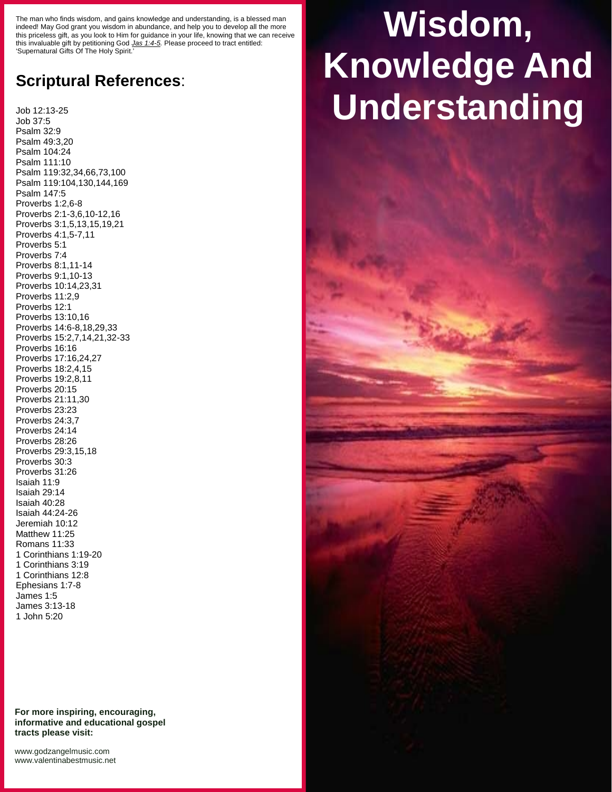The man who finds wisdom, and gains knowledge and understanding, is a blessed man indeed! May God grant you wisdom in abundance, and help you to develop all the more this priceless gift, as you look to Him for guidance in your life, knowing that we can receive this invaluable gift by petitioning God *Jas 1:4-5.* Please proceed to tract entitled: 'Supernatural Gifts Of The Holy Spirit.'

## **Scriptural References**:

Job 12:13-25 Job 37:5 Psalm 32:9 Psalm 49:3,20 Psalm 104:24 Psalm 111:10 Psalm 119:32,34,66,73,100 Psalm 119:104,130,144,169 Psalm 147:5 Proverbs 1:2,6-8 Proverbs 2:1-3,6,10-12,16 Proverbs 3:1,5,13,15,19,21 Proverbs 4:1,5-7,11 Proverbs 5:1 Proverbs 7:4 Proverbs 8:1,11-14 Proverbs 9:1,10-13 Proverbs 10:14,23,31 Proverbs 11:2,9 Proverbs 12:1 Proverbs 13:10,16 Proverbs 14:6-8,18,29,33 Proverbs 15:2,7,14,21,32-33 Proverbs 16:16 Proverbs 17:16,24,27 Proverbs 18:2,4,15 Proverbs 19:2,8,11 Proverbs 20:15 Proverbs 21:11,30 Proverbs 23:23 Proverbs 24:3,7 Proverbs 24:14 Proverbs 28:26 Proverbs 29:3,15,18 Proverbs 30:3 Proverbs 31:26 Isaiah 11:9 Isaiah 29:14 Isaiah 40:28 Isaiah 44:24-26 Jeremiah 10:12 Matthew 11:25 Romans 11:33 1 Corinthians 1:19-20 1 Corinthians 3:19 1 Corinthians 12:8 Ephesians 1:7-8 James 1:5 James 3:13-18 1 John 5:20

**For more inspiring, encouraging, informative and educational gospel tracts please visit:**

## **Wisdom, Knowledge And Understanding**

<www.godzangelmusic.com> <www.valentinabestmusic.net>